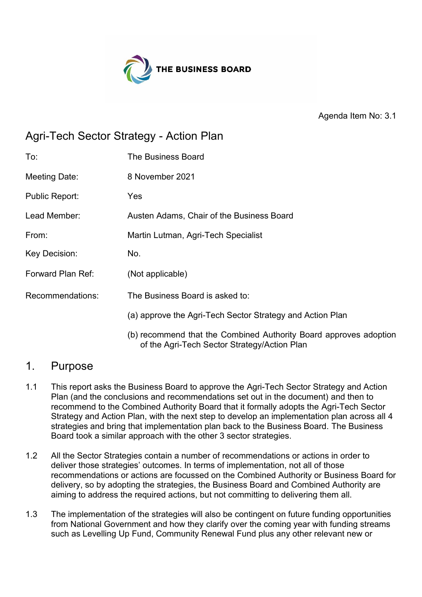

Agenda Item No: 3.1

# Agri-Tech Sector Strategy - Action Plan

| To:                   | <b>The Business Board</b>                                                                                         |
|-----------------------|-------------------------------------------------------------------------------------------------------------------|
| Meeting Date:         | 8 November 2021                                                                                                   |
| <b>Public Report:</b> | Yes                                                                                                               |
| Lead Member:          | Austen Adams, Chair of the Business Board                                                                         |
| From:                 | Martin Lutman, Agri-Tech Specialist                                                                               |
| Key Decision:         | No.                                                                                                               |
| Forward Plan Ref:     | (Not applicable)                                                                                                  |
| Recommendations:      | The Business Board is asked to:                                                                                   |
|                       | (a) approve the Agri-Tech Sector Strategy and Action Plan                                                         |
|                       | (b) recommend that the Combined Authority Board approves adoption<br>of the Agri-Tech Sector Strategy/Action Plan |

### 1. Purpose

- 1.1 This report asks the Business Board to approve the Agri-Tech Sector Strategy and Action Plan (and the conclusions and recommendations set out in the document) and then to recommend to the Combined Authority Board that it formally adopts the Agri-Tech Sector Strategy and Action Plan, with the next step to develop an implementation plan across all 4 strategies and bring that implementation plan back to the Business Board. The Business Board took a similar approach with the other 3 sector strategies.
- 1.2 All the Sector Strategies contain a number of recommendations or actions in order to deliver those strategies' outcomes. In terms of implementation, not all of those recommendations or actions are focussed on the Combined Authority or Business Board for delivery, so by adopting the strategies, the Business Board and Combined Authority are aiming to address the required actions, but not committing to delivering them all.
- 1.3 The implementation of the strategies will also be contingent on future funding opportunities from National Government and how they clarify over the coming year with funding streams such as Levelling Up Fund, Community Renewal Fund plus any other relevant new or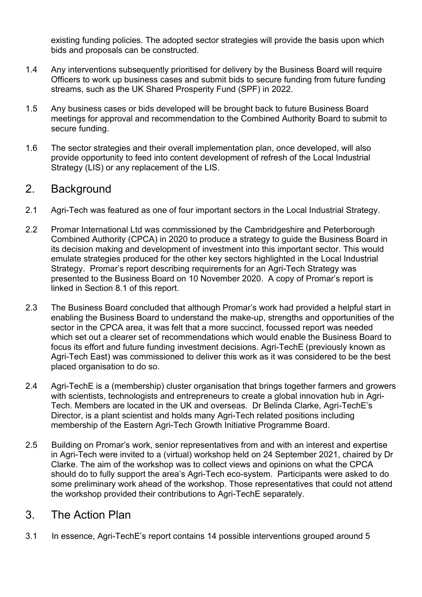existing funding policies. The adopted sector strategies will provide the basis upon which bids and proposals can be constructed.

- 1.4 Any interventions subsequently prioritised for delivery by the Business Board will require Officers to work up business cases and submit bids to secure funding from future funding streams, such as the UK Shared Prosperity Fund (SPF) in 2022.
- 1.5 Any business cases or bids developed will be brought back to future Business Board meetings for approval and recommendation to the Combined Authority Board to submit to secure funding.
- 1.6 The sector strategies and their overall implementation plan, once developed, will also provide opportunity to feed into content development of refresh of the Local Industrial Strategy (LIS) or any replacement of the LIS.

## 2. Background

- 2.1 Agri-Tech was featured as one of four important sectors in the Local Industrial Strategy.
- 2.2 Promar International Ltd was commissioned by the Cambridgeshire and Peterborough Combined Authority (CPCA) in 2020 to produce a strategy to guide the Business Board in its decision making and development of investment into this important sector. This would emulate strategies produced for the other key sectors highlighted in the Local Industrial Strategy. Promar's report describing requirements for an Agri-Tech Strategy was presented to the Business Board on 10 November 2020. A copy of Promar's report is linked in Section 8.1 of this report.
- 2.3 The Business Board concluded that although Promar's work had provided a helpful start in enabling the Business Board to understand the make-up, strengths and opportunities of the sector in the CPCA area, it was felt that a more succinct, focussed report was needed which set out a clearer set of recommendations which would enable the Business Board to focus its effort and future funding investment decisions. Agri-TechE (previously known as Agri-Tech East) was commissioned to deliver this work as it was considered to be the best placed organisation to do so.
- 2.4 Agri-TechE is a (membership) cluster organisation that brings together farmers and growers with scientists, technologists and entrepreneurs to create a global innovation hub in Agri-Tech. Members are located in the UK and overseas. Dr Belinda Clarke, Agri-TechE's Director, is a plant scientist and holds many Agri-Tech related positions including membership of the Eastern Agri-Tech Growth Initiative Programme Board.
- 2.5 Building on Promar's work, senior representatives from and with an interest and expertise in Agri-Tech were invited to a (virtual) workshop held on 24 September 2021, chaired by Dr Clarke. The aim of the workshop was to collect views and opinions on what the CPCA should do to fully support the area's Agri-Tech eco-system. Participants were asked to do some preliminary work ahead of the workshop. Those representatives that could not attend the workshop provided their contributions to Agri-TechE separately.

### 3. The Action Plan

3.1 In essence, Agri-TechE's report contains 14 possible interventions grouped around 5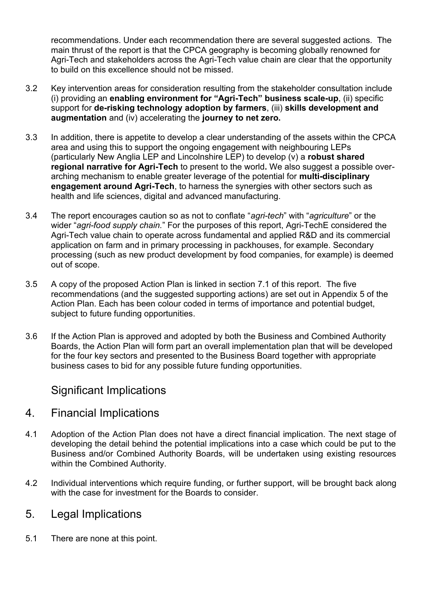recommendations. Under each recommendation there are several suggested actions. The main thrust of the report is that the CPCA geography is becoming globally renowned for Agri-Tech and stakeholders across the Agri-Tech value chain are clear that the opportunity to build on this excellence should not be missed.

- 3.2 Key intervention areas for consideration resulting from the stakeholder consultation include (i) providing an **enabling environment for "Agri-Tech" business scale-up**, (ii) specific support for **de-risking technology adoption by farmers**, (iii) **skills development and augmentation** and (iv) accelerating the **journey to net zero.**
- 3.3 In addition, there is appetite to develop a clear understanding of the assets within the CPCA area and using this to support the ongoing engagement with neighbouring LEPs (particularly New Anglia LEP and Lincolnshire LEP) to develop (v) a **robust shared regional narrative for Agri-Tech** to present to the world**.** We also suggest a possible overarching mechanism to enable greater leverage of the potential for **multi-disciplinary engagement around Agri-Tech**, to harness the synergies with other sectors such as health and life sciences, digital and advanced manufacturing.
- 3.4 The report encourages caution so as not to conflate "*agri-tech*" with "*agriculture*" or the wider "*agri-food supply chain.*" For the purposes of this report, Agri-TechE considered the Agri-Tech value chain to operate across fundamental and applied R&D and its commercial application on farm and in primary processing in packhouses, for example. Secondary processing (such as new product development by food companies, for example) is deemed out of scope.
- 3.5 A copy of the proposed Action Plan is linked in section 7.1 of this report. The five recommendations (and the suggested supporting actions) are set out in Appendix 5 of the Action Plan. Each has been colour coded in terms of importance and potential budget, subject to future funding opportunities.
- 3.6 If the Action Plan is approved and adopted by both the Business and Combined Authority Boards, the Action Plan will form part an overall implementation plan that will be developed for the four key sectors and presented to the Business Board together with appropriate business cases to bid for any possible future funding opportunities.

### Significant Implications

#### 4. Financial Implications

- 4.1 Adoption of the Action Plan does not have a direct financial implication. The next stage of developing the detail behind the potential implications into a case which could be put to the Business and/or Combined Authority Boards, will be undertaken using existing resources within the Combined Authority.
- 4.2 Individual interventions which require funding, or further support, will be brought back along with the case for investment for the Boards to consider.

### 5. Legal Implications

5.1 There are none at this point.